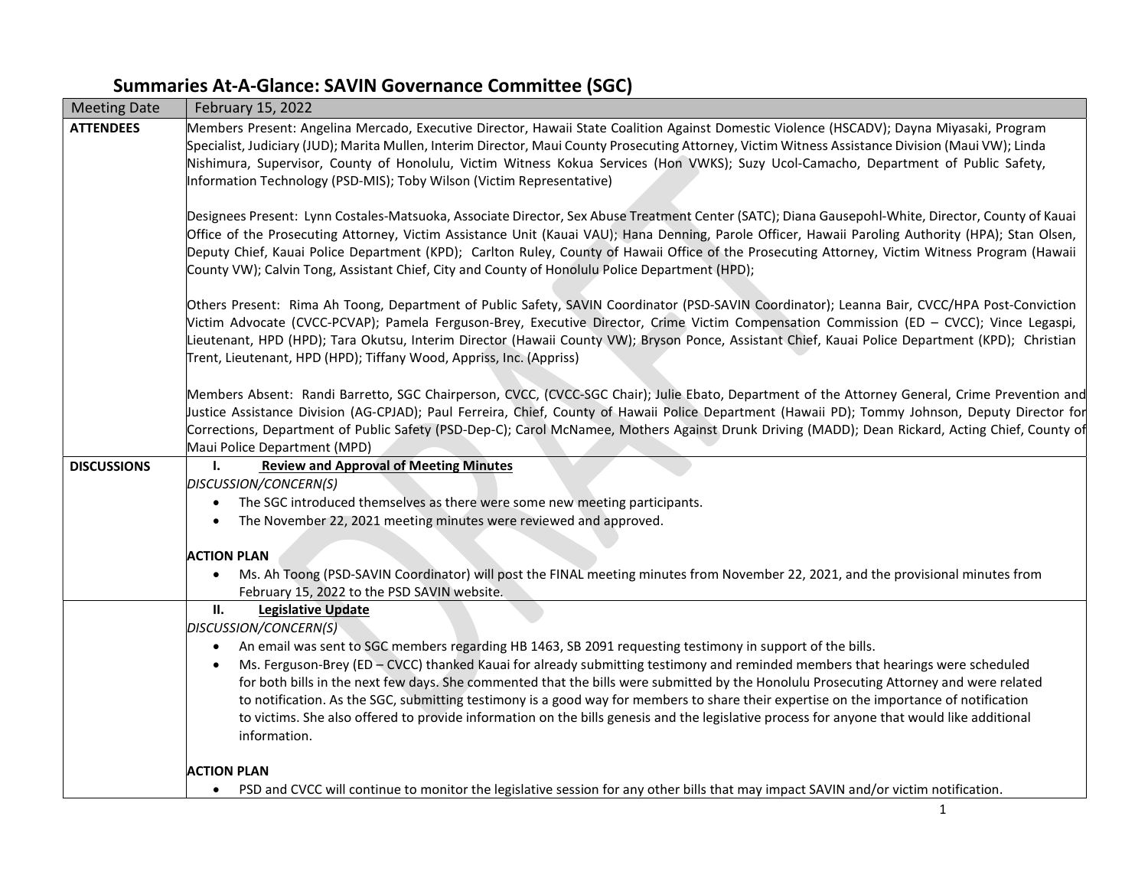## Summaries At-A-Glance: SAVIN Governance Committee (SGC)

| <b>Meeting Date</b> | February 15, 2022                                                                                                                                                                                                                                                                                                                                                                                                                                                                                                                                             |  |  |  |
|---------------------|---------------------------------------------------------------------------------------------------------------------------------------------------------------------------------------------------------------------------------------------------------------------------------------------------------------------------------------------------------------------------------------------------------------------------------------------------------------------------------------------------------------------------------------------------------------|--|--|--|
| <b>ATTENDEES</b>    | Members Present: Angelina Mercado, Executive Director, Hawaii State Coalition Against Domestic Violence (HSCADV); Dayna Miyasaki, Program<br>Specialist, Judiciary (JUD); Marita Mullen, Interim Director, Maui County Prosecuting Attorney, Victim Witness Assistance Division (Maui VW); Linda<br>Nishimura, Supervisor, County of Honolulu, Victim Witness Kokua Services (Hon VWKS); Suzy Ucol-Camacho, Department of Public Safety,<br>Information Technology (PSD-MIS); Toby Wilson (Victim Representative)                                             |  |  |  |
|                     | Designees Present: Lynn Costales-Matsuoka, Associate Director, Sex Abuse Treatment Center (SATC); Diana Gausepohl-White, Director, County of Kauai<br>Office of the Prosecuting Attorney, Victim Assistance Unit (Kauai VAU); Hana Denning, Parole Officer, Hawaii Paroling Authority (HPA); Stan Olsen,<br>Deputy Chief, Kauai Police Department (KPD); Carlton Ruley, County of Hawaii Office of the Prosecuting Attorney, Victim Witness Program (Hawaii<br>County VW); Calvin Tong, Assistant Chief, City and County of Honolulu Police Department (HPD); |  |  |  |
|                     | Others Present: Rima Ah Toong, Department of Public Safety, SAVIN Coordinator (PSD-SAVIN Coordinator); Leanna Bair, CVCC/HPA Post-Conviction<br>Victim Advocate (CVCC-PCVAP); Pamela Ferguson-Brey, Executive Director, Crime Victim Compensation Commission (ED - CVCC); Vince Legaspi,<br>Lieutenant, HPD (HPD); Tara Okutsu, Interim Director (Hawaii County VW); Bryson Ponce, Assistant Chief, Kauai Police Department (KPD); Christian<br>Trent, Lieutenant, HPD (HPD); Tiffany Wood, Appriss, Inc. (Appriss)                                           |  |  |  |
|                     | Members Absent: Randi Barretto, SGC Chairperson, CVCC, (CVCC-SGC Chair); Julie Ebato, Department of the Attorney General, Crime Prevention and<br>Justice Assistance Division (AG-CPJAD); Paul Ferreira, Chief, County of Hawaii Police Department (Hawaii PD); Tommy Johnson, Deputy Director for<br>Corrections, Department of Public Safety (PSD-Dep-C); Carol McNamee, Mothers Against Drunk Driving (MADD); Dean Rickard, Acting Chief, County of<br>Maui Police Department (MPD)                                                                        |  |  |  |
| <b>DISCUSSIONS</b>  | <b>Review and Approval of Meeting Minutes</b><br>Ι.<br>DISCUSSION/CONCERN(S)                                                                                                                                                                                                                                                                                                                                                                                                                                                                                  |  |  |  |
|                     | The SGC introduced themselves as there were some new meeting participants.                                                                                                                                                                                                                                                                                                                                                                                                                                                                                    |  |  |  |
|                     | The November 22, 2021 meeting minutes were reviewed and approved.                                                                                                                                                                                                                                                                                                                                                                                                                                                                                             |  |  |  |
|                     | <b>ACTION PLAN</b>                                                                                                                                                                                                                                                                                                                                                                                                                                                                                                                                            |  |  |  |
|                     | Ms. Ah Toong (PSD-SAVIN Coordinator) will post the FINAL meeting minutes from November 22, 2021, and the provisional minutes from<br>February 15, 2022 to the PSD SAVIN website.                                                                                                                                                                                                                                                                                                                                                                              |  |  |  |
|                     | ΙΙ.<br><b>Legislative Update</b>                                                                                                                                                                                                                                                                                                                                                                                                                                                                                                                              |  |  |  |
|                     | DISCUSSION/CONCERN(S)                                                                                                                                                                                                                                                                                                                                                                                                                                                                                                                                         |  |  |  |
|                     | An email was sent to SGC members regarding HB 1463, SB 2091 requesting testimony in support of the bills.<br>$\bullet$<br>Ms. Ferguson-Brey (ED - CVCC) thanked Kauai for already submitting testimony and reminded members that hearings were scheduled                                                                                                                                                                                                                                                                                                      |  |  |  |
|                     | for both bills in the next few days. She commented that the bills were submitted by the Honolulu Prosecuting Attorney and were related<br>to notification. As the SGC, submitting testimony is a good way for members to share their expertise on the importance of notification<br>to victims. She also offered to provide information on the bills genesis and the legislative process for anyone that would like additional<br>information.                                                                                                                |  |  |  |
|                     | <b>ACTION PLAN</b>                                                                                                                                                                                                                                                                                                                                                                                                                                                                                                                                            |  |  |  |
|                     | PSD and CVCC will continue to monitor the legislative session for any other bills that may impact SAVIN and/or victim notification.                                                                                                                                                                                                                                                                                                                                                                                                                           |  |  |  |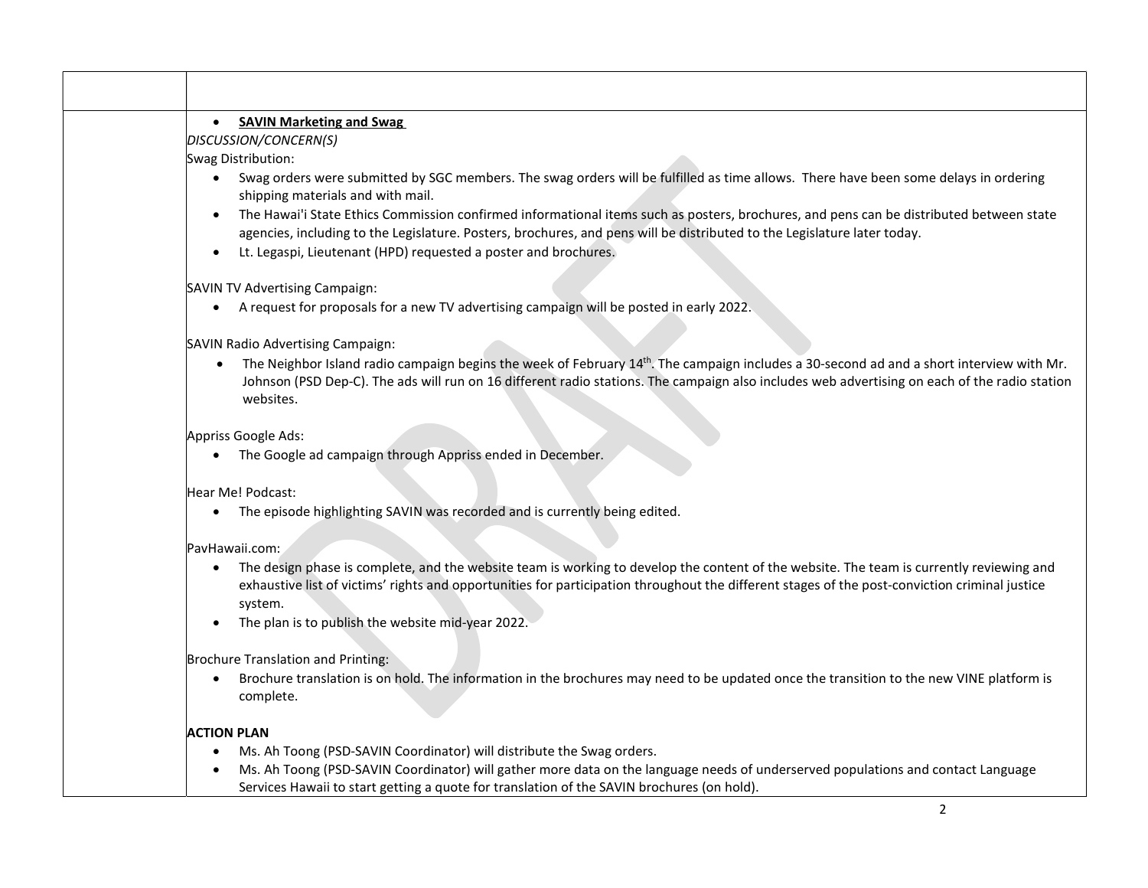|                    | • SAVIN Marketing and Swag                                                                                                                                                                                                                                                                                |
|--------------------|-----------------------------------------------------------------------------------------------------------------------------------------------------------------------------------------------------------------------------------------------------------------------------------------------------------|
|                    | DISCUSSION/CONCERN(S)                                                                                                                                                                                                                                                                                     |
|                    | Swag Distribution:                                                                                                                                                                                                                                                                                        |
|                    | • Swag orders were submitted by SGC members. The swag orders will be fulfilled as time allows. There have been some delays in ordering<br>shipping materials and with mail.                                                                                                                               |
| $\bullet$          | The Hawai'i State Ethics Commission confirmed informational items such as posters, brochures, and pens can be distributed between state<br>agencies, including to the Legislature. Posters, brochures, and pens will be distributed to the Legislature later today.                                       |
| $\bullet$          | Lt. Legaspi, Lieutenant (HPD) requested a poster and brochures.                                                                                                                                                                                                                                           |
|                    | SAVIN TV Advertising Campaign:                                                                                                                                                                                                                                                                            |
|                    | A request for proposals for a new TV advertising campaign will be posted in early 2022.                                                                                                                                                                                                                   |
|                    | SAVIN Radio Advertising Campaign:                                                                                                                                                                                                                                                                         |
| $\bullet$          | The Neighbor Island radio campaign begins the week of February $14th$ . The campaign includes a 30-second ad and a short interview with Mr.<br>Johnson (PSD Dep-C). The ads will run on 16 different radio stations. The campaign also includes web advertising on each of the radio station<br>websites. |
|                    | Appriss Google Ads:                                                                                                                                                                                                                                                                                       |
| $\bullet$          | The Google ad campaign through Appriss ended in December.                                                                                                                                                                                                                                                 |
|                    | Hear Me! Podcast:                                                                                                                                                                                                                                                                                         |
| $\bullet$          | The episode highlighting SAVIN was recorded and is currently being edited.                                                                                                                                                                                                                                |
|                    | PavHawaii.com:                                                                                                                                                                                                                                                                                            |
| $\bullet$          | The design phase is complete, and the website team is working to develop the content of the website. The team is currently reviewing and<br>exhaustive list of victims' rights and opportunities for participation throughout the different stages of the post-conviction criminal justice<br>system.     |
|                    | The plan is to publish the website mid-year 2022.                                                                                                                                                                                                                                                         |
|                    | Brochure Translation and Printing:                                                                                                                                                                                                                                                                        |
| $\bullet$          | Brochure translation is on hold. The information in the brochures may need to be updated once the transition to the new VINE platform is<br>complete.                                                                                                                                                     |
| <b>ACTION PLAN</b> |                                                                                                                                                                                                                                                                                                           |
|                    | Ms. Ah Toong (PSD-SAVIN Coordinator) will distribute the Swag orders.                                                                                                                                                                                                                                     |
|                    | Ms. Ah Toong (PSD-SAVIN Coordinator) will gather more data on the language needs of underserved populations and contact Language<br>Services Hawaii to start getting a quote for translation of the SAVIN brochures (on hold).                                                                            |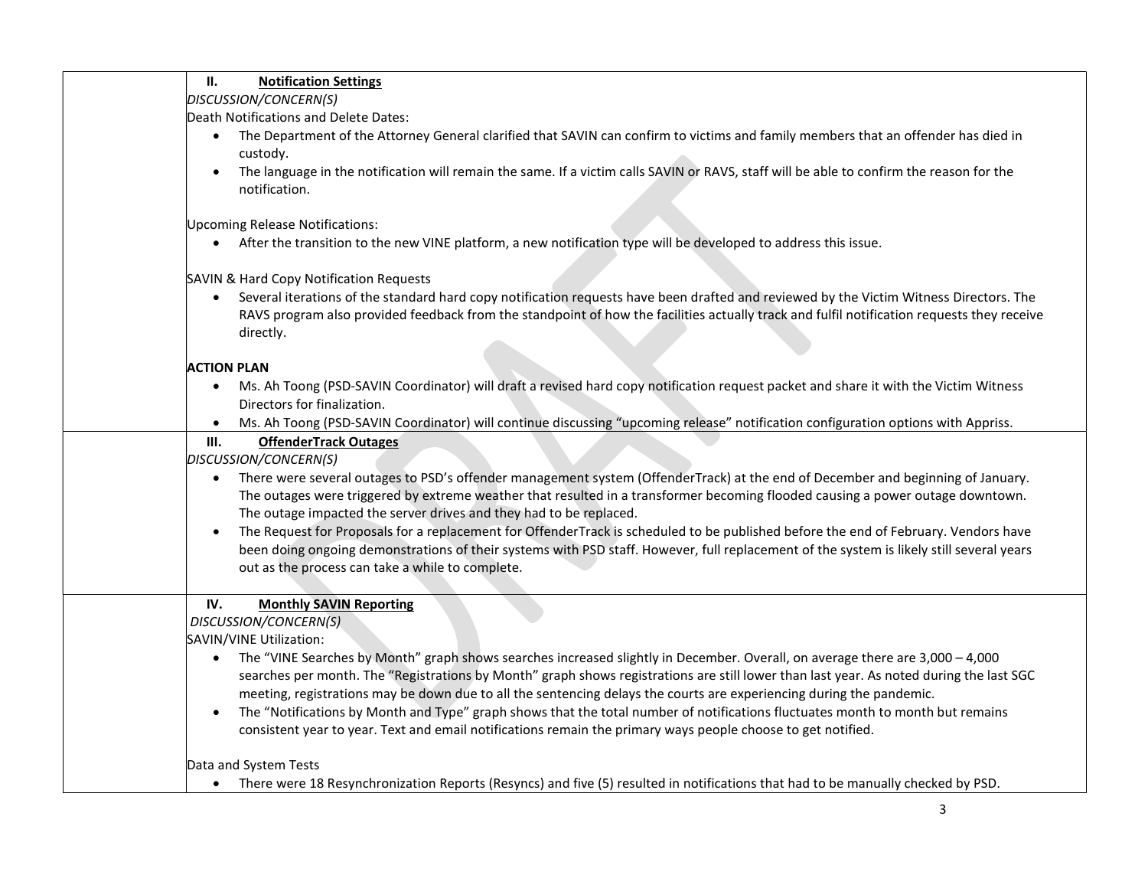| П.<br><b>Notification Settings</b>                                                                                                                                                                                                                                                                                                                   |
|------------------------------------------------------------------------------------------------------------------------------------------------------------------------------------------------------------------------------------------------------------------------------------------------------------------------------------------------------|
| DISCUSSION/CONCERN(S)                                                                                                                                                                                                                                                                                                                                |
| Death Notifications and Delete Dates:                                                                                                                                                                                                                                                                                                                |
| The Department of the Attorney General clarified that SAVIN can confirm to victims and family members that an offender has died in<br>custody.                                                                                                                                                                                                       |
| The language in the notification will remain the same. If a victim calls SAVIN or RAVS, staff will be able to confirm the reason for the<br>notification.                                                                                                                                                                                            |
| Upcoming Release Notifications:                                                                                                                                                                                                                                                                                                                      |
| After the transition to the new VINE platform, a new notification type will be developed to address this issue.<br>$\bullet$                                                                                                                                                                                                                         |
| SAVIN & Hard Copy Notification Requests                                                                                                                                                                                                                                                                                                              |
| Several iterations of the standard hard copy notification requests have been drafted and reviewed by the Victim Witness Directors. The<br>$\bullet$<br>RAVS program also provided feedback from the standpoint of how the facilities actually track and fulfil notification requests they receive<br>directly.                                       |
| <b>ACTION PLAN</b>                                                                                                                                                                                                                                                                                                                                   |
| Ms. Ah Toong (PSD-SAVIN Coordinator) will draft a revised hard copy notification request packet and share it with the Victim Witness<br>$\bullet$<br>Directors for finalization.                                                                                                                                                                     |
| Ms. Ah Toong (PSD-SAVIN Coordinator) will continue discussing "upcoming release" notification configuration options with Appriss.<br>$\bullet$                                                                                                                                                                                                       |
| III.<br><b>OffenderTrack Outages</b>                                                                                                                                                                                                                                                                                                                 |
| DISCUSSION/CONCERN(S)                                                                                                                                                                                                                                                                                                                                |
| There were several outages to PSD's offender management system (OffenderTrack) at the end of December and beginning of January.<br>$\bullet$<br>The outages were triggered by extreme weather that resulted in a transformer becoming flooded causing a power outage downtown.<br>The outage impacted the server drives and they had to be replaced. |
| The Request for Proposals for a replacement for OffenderTrack is scheduled to be published before the end of February. Vendors have                                                                                                                                                                                                                  |
| been doing ongoing demonstrations of their systems with PSD staff. However, full replacement of the system is likely still several years                                                                                                                                                                                                             |
| out as the process can take a while to complete.                                                                                                                                                                                                                                                                                                     |
|                                                                                                                                                                                                                                                                                                                                                      |
| IV.<br><b>Monthly SAVIN Reporting</b>                                                                                                                                                                                                                                                                                                                |
| DISCUSSION/CONCERN(S)                                                                                                                                                                                                                                                                                                                                |
| SAVIN/VINE Utilization:                                                                                                                                                                                                                                                                                                                              |
| The "VINE Searches by Month" graph shows searches increased slightly in December. Overall, on average there are 3,000 - 4,000<br>$\bullet$                                                                                                                                                                                                           |
| searches per month. The "Registrations by Month" graph shows registrations are still lower than last year. As noted during the last SGC                                                                                                                                                                                                              |
| meeting, registrations may be down due to all the sentencing delays the courts are experiencing during the pandemic.                                                                                                                                                                                                                                 |
| The "Notifications by Month and Type" graph shows that the total number of notifications fluctuates month to month but remains<br>$\bullet$                                                                                                                                                                                                          |
| consistent year to year. Text and email notifications remain the primary ways people choose to get notified.                                                                                                                                                                                                                                         |
| Data and System Tests                                                                                                                                                                                                                                                                                                                                |
| • There were 18 Resynchronization Reports (Resyncs) and five (5) resulted in notifications that had to be manually checked by PSD.                                                                                                                                                                                                                   |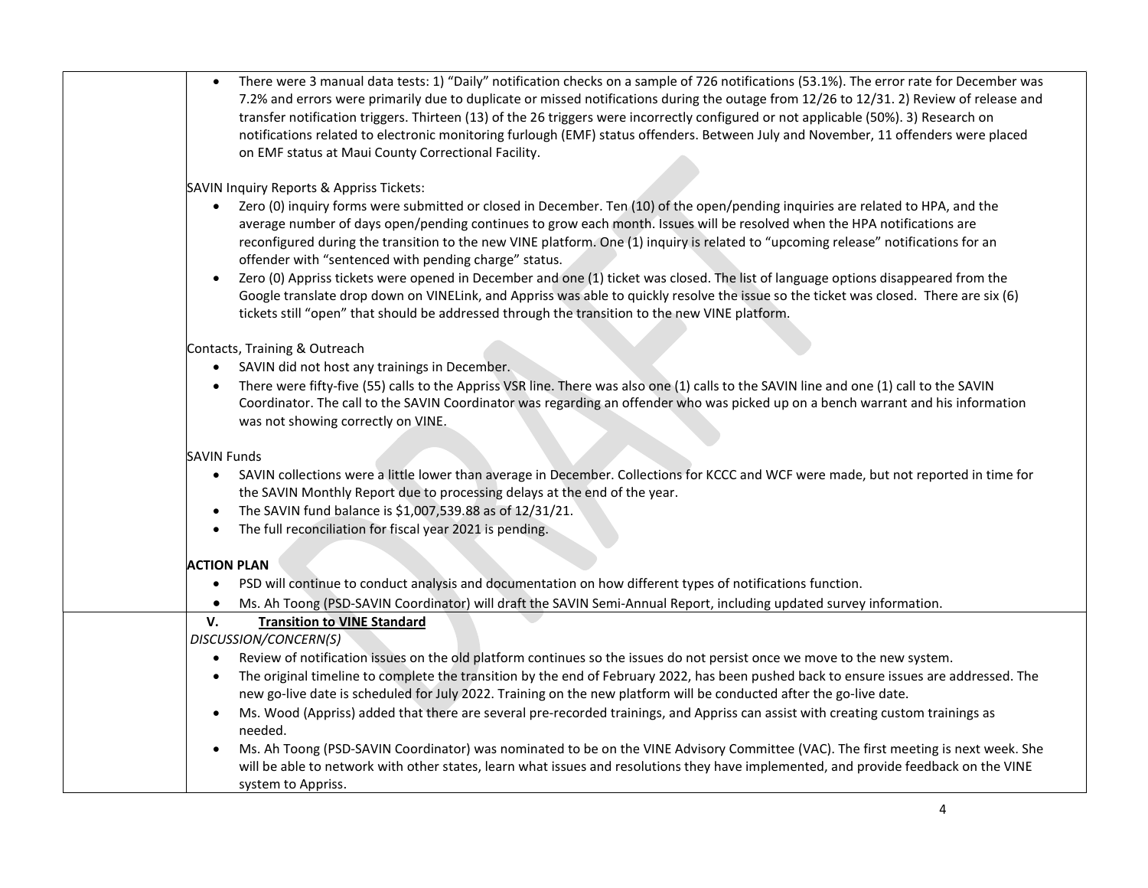|           | There were 3 manual data tests: 1) "Daily" notification checks on a sample of 726 notifications (53.1%). The error rate for December was                                                                                                                                                                                                                                                                               |
|-----------|------------------------------------------------------------------------------------------------------------------------------------------------------------------------------------------------------------------------------------------------------------------------------------------------------------------------------------------------------------------------------------------------------------------------|
|           | 7.2% and errors were primarily due to duplicate or missed notifications during the outage from 12/26 to 12/31. 2) Review of release and<br>transfer notification triggers. Thirteen (13) of the 26 triggers were incorrectly configured or not applicable (50%). 3) Research on<br>notifications related to electronic monitoring furlough (EMF) status offenders. Between July and November, 11 offenders were placed |
|           | on EMF status at Maui County Correctional Facility.                                                                                                                                                                                                                                                                                                                                                                    |
|           | SAVIN Inquiry Reports & Appriss Tickets:                                                                                                                                                                                                                                                                                                                                                                               |
|           | Zero (0) inquiry forms were submitted or closed in December. Ten (10) of the open/pending inquiries are related to HPA, and the<br>$\bullet$<br>average number of days open/pending continues to grow each month. Issues will be resolved when the HPA notifications are                                                                                                                                               |
|           | reconfigured during the transition to the new VINE platform. One (1) inquiry is related to "upcoming release" notifications for an<br>offender with "sentenced with pending charge" status.                                                                                                                                                                                                                            |
| $\bullet$ | Zero (0) Appriss tickets were opened in December and one (1) ticket was closed. The list of language options disappeared from the                                                                                                                                                                                                                                                                                      |
|           | Google translate drop down on VINELink, and Appriss was able to quickly resolve the issue so the ticket was closed. There are six (6)<br>tickets still "open" that should be addressed through the transition to the new VINE platform.                                                                                                                                                                                |
|           | Contacts, Training & Outreach                                                                                                                                                                                                                                                                                                                                                                                          |
| $\bullet$ | SAVIN did not host any trainings in December.                                                                                                                                                                                                                                                                                                                                                                          |
| $\bullet$ | There were fifty-five (55) calls to the Appriss VSR line. There was also one (1) calls to the SAVIN line and one (1) call to the SAVIN<br>Coordinator. The call to the SAVIN Coordinator was regarding an offender who was picked up on a bench warrant and his information<br>was not showing correctly on VINE.                                                                                                      |
|           |                                                                                                                                                                                                                                                                                                                                                                                                                        |
|           | <b>SAVIN Funds</b>                                                                                                                                                                                                                                                                                                                                                                                                     |
| $\bullet$ | SAVIN collections were a little lower than average in December. Collections for KCCC and WCF were made, but not reported in time for<br>the SAVIN Monthly Report due to processing delays at the end of the year.                                                                                                                                                                                                      |
| $\bullet$ | The SAVIN fund balance is \$1,007,539.88 as of 12/31/21.                                                                                                                                                                                                                                                                                                                                                               |
| $\bullet$ | The full reconciliation for fiscal year 2021 is pending.                                                                                                                                                                                                                                                                                                                                                               |
|           | <b>ACTION PLAN</b>                                                                                                                                                                                                                                                                                                                                                                                                     |
| $\bullet$ | PSD will continue to conduct analysis and documentation on how different types of notifications function.                                                                                                                                                                                                                                                                                                              |
| $\bullet$ | Ms. Ah Toong (PSD-SAVIN Coordinator) will draft the SAVIN Semi-Annual Report, including updated survey information.                                                                                                                                                                                                                                                                                                    |
| V.        | <b>Transition to VINE Standard</b>                                                                                                                                                                                                                                                                                                                                                                                     |
|           | DISCUSSION/CONCERN(S)                                                                                                                                                                                                                                                                                                                                                                                                  |
|           | Review of notification issues on the old platform continues so the issues do not persist once we move to the new system.<br>The original timeline to complete the transition by the end of February 2022, has been pushed back to ensure issues are addressed. The                                                                                                                                                     |
| $\bullet$ | new go-live date is scheduled for July 2022. Training on the new platform will be conducted after the go-live date.                                                                                                                                                                                                                                                                                                    |
| $\bullet$ | Ms. Wood (Appriss) added that there are several pre-recorded trainings, and Appriss can assist with creating custom trainings as<br>needed.                                                                                                                                                                                                                                                                            |
|           | Ms. Ah Toong (PSD-SAVIN Coordinator) was nominated to be on the VINE Advisory Committee (VAC). The first meeting is next week. She                                                                                                                                                                                                                                                                                     |
|           | will be able to network with other states, learn what issues and resolutions they have implemented, and provide feedback on the VINE                                                                                                                                                                                                                                                                                   |